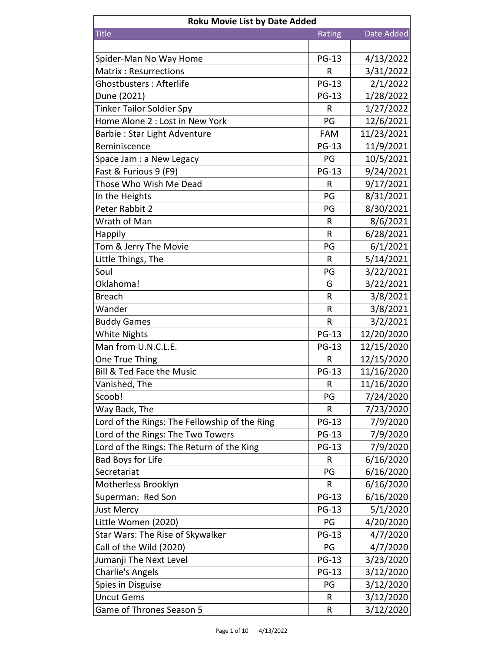| <b>Roku Movie List by Date Added</b>          |              |            |  |
|-----------------------------------------------|--------------|------------|--|
| <b>Title</b>                                  | Rating       | Date Added |  |
|                                               |              |            |  |
| Spider-Man No Way Home                        | <b>PG-13</b> | 4/13/2022  |  |
| <b>Matrix: Resurrections</b>                  | R            | 3/31/2022  |  |
| Ghostbusters: Afterlife                       | <b>PG-13</b> | 2/1/2022   |  |
| Dune (2021)                                   | <b>PG-13</b> | 1/28/2022  |  |
| <b>Tinker Tailor Soldier Spy</b>              | R            | 1/27/2022  |  |
| Home Alone 2 : Lost in New York               | PG           | 12/6/2021  |  |
| Barbie: Star Light Adventure                  | <b>FAM</b>   | 11/23/2021 |  |
| Reminiscence                                  | <b>PG-13</b> | 11/9/2021  |  |
| Space Jam : a New Legacy                      | PG           | 10/5/2021  |  |
| Fast & Furious 9 (F9)                         | <b>PG-13</b> | 9/24/2021  |  |
| Those Who Wish Me Dead                        | R            | 9/17/2021  |  |
| In the Heights                                | PG           | 8/31/2021  |  |
| Peter Rabbit 2                                | PG           | 8/30/2021  |  |
| Wrath of Man                                  | R            | 8/6/2021   |  |
| Happily                                       | R            | 6/28/2021  |  |
| Tom & Jerry The Movie                         | PG           | 6/1/2021   |  |
| Little Things, The                            | R            | 5/14/2021  |  |
| Soul                                          | PG           | 3/22/2021  |  |
| Oklahoma!                                     | G            | 3/22/2021  |  |
| <b>Breach</b>                                 | R            | 3/8/2021   |  |
| Wander                                        | R            | 3/8/2021   |  |
| <b>Buddy Games</b>                            | $\mathsf R$  | 3/2/2021   |  |
| <b>White Nights</b>                           | <b>PG-13</b> | 12/20/2020 |  |
| Man from U.N.C.L.E.                           | <b>PG-13</b> | 12/15/2020 |  |
| One True Thing                                | R            | 12/15/2020 |  |
| Bill & Ted Face the Music                     | <b>PG-13</b> | 11/16/2020 |  |
| Vanished, The                                 | R            | 11/16/2020 |  |
| Scoob!                                        | PG           | 7/24/2020  |  |
| Way Back, The                                 | R            | 7/23/2020  |  |
| Lord of the Rings: The Fellowship of the Ring | <b>PG-13</b> | 7/9/2020   |  |
| Lord of the Rings: The Two Towers             | <b>PG-13</b> | 7/9/2020   |  |
| Lord of the Rings: The Return of the King     | <b>PG-13</b> | 7/9/2020   |  |
| <b>Bad Boys for Life</b>                      | R            | 6/16/2020  |  |
| Secretariat                                   | PG           | 6/16/2020  |  |
| Motherless Brooklyn                           | R            | 6/16/2020  |  |
| Superman: Red Son                             | <b>PG-13</b> | 6/16/2020  |  |
| Just Mercy                                    | <b>PG-13</b> | 5/1/2020   |  |
| Little Women (2020)                           | PG           | 4/20/2020  |  |
| Star Wars: The Rise of Skywalker              | <b>PG-13</b> | 4/7/2020   |  |
| Call of the Wild (2020)                       | PG           | 4/7/2020   |  |
| Jumanji The Next Level                        | <b>PG-13</b> | 3/23/2020  |  |
| <b>Charlie's Angels</b>                       | <b>PG-13</b> | 3/12/2020  |  |
| Spies in Disguise                             | PG           | 3/12/2020  |  |
| <b>Uncut Gems</b>                             | R            | 3/12/2020  |  |
| Game of Thrones Season 5                      | R            | 3/12/2020  |  |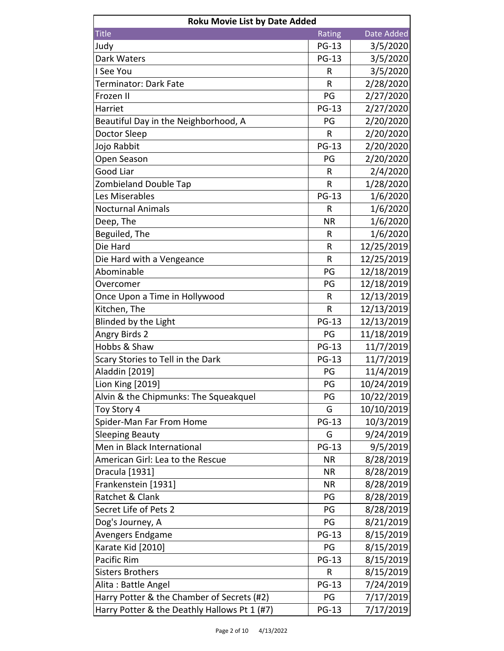| <b>Roku Movie List by Date Added</b>         |              |            |
|----------------------------------------------|--------------|------------|
| <b>Title</b>                                 | Rating       | Date Added |
| Judy                                         | <b>PG-13</b> | 3/5/2020   |
| Dark Waters                                  | <b>PG-13</b> | 3/5/2020   |
| I See You                                    | R            | 3/5/2020   |
| Terminator: Dark Fate                        | R            | 2/28/2020  |
| Frozen II                                    | PG           | 2/27/2020  |
| Harriet                                      | <b>PG-13</b> | 2/27/2020  |
| Beautiful Day in the Neighborhood, A         | PG           | 2/20/2020  |
| Doctor Sleep                                 | $\mathsf{R}$ | 2/20/2020  |
| Jojo Rabbit                                  | <b>PG-13</b> | 2/20/2020  |
| Open Season                                  | PG           | 2/20/2020  |
| <b>Good Liar</b>                             | R            | 2/4/2020   |
| <b>Zombieland Double Tap</b>                 | $\mathsf{R}$ | 1/28/2020  |
| Les Miserables                               | <b>PG-13</b> | 1/6/2020   |
| <b>Nocturnal Animals</b>                     | R            | 1/6/2020   |
| Deep, The                                    | <b>NR</b>    | 1/6/2020   |
| Beguiled, The                                | $\mathsf{R}$ | 1/6/2020   |
| Die Hard                                     | R            | 12/25/2019 |
| Die Hard with a Vengeance                    | $\mathsf R$  | 12/25/2019 |
| Abominable                                   | PG           | 12/18/2019 |
| Overcomer                                    | PG           | 12/18/2019 |
| Once Upon a Time in Hollywood                | R            | 12/13/2019 |
| Kitchen, The                                 | R            | 12/13/2019 |
| Blinded by the Light                         | <b>PG-13</b> | 12/13/2019 |
| Angry Birds 2                                | PG           | 11/18/2019 |
| Hobbs & Shaw                                 | <b>PG-13</b> | 11/7/2019  |
| Scary Stories to Tell in the Dark            | <b>PG-13</b> | 11/7/2019  |
| Aladdin [2019]                               | PG           | 11/4/2019  |
| Lion King [2019]                             | PG           | 10/24/2019 |
| Alvin & the Chipmunks: The Squeakquel        | PG           | 10/22/2019 |
| Toy Story 4                                  | G            | 10/10/2019 |
| Spider-Man Far From Home                     | <b>PG-13</b> | 10/3/2019  |
| <b>Sleeping Beauty</b>                       | G            | 9/24/2019  |
| Men in Black International                   | <b>PG-13</b> | 9/5/2019   |
| American Girl: Lea to the Rescue             | <b>NR</b>    | 8/28/2019  |
| Dracula [1931]                               | <b>NR</b>    | 8/28/2019  |
| Frankenstein [1931]                          | <b>NR</b>    | 8/28/2019  |
| Ratchet & Clank                              | PG           | 8/28/2019  |
| Secret Life of Pets 2                        | PG           | 8/28/2019  |
| Dog's Journey, A                             | PG           | 8/21/2019  |
| Avengers Endgame                             | <b>PG-13</b> | 8/15/2019  |
| Karate Kid [2010]                            | PG           | 8/15/2019  |
| Pacific Rim                                  | <b>PG-13</b> | 8/15/2019  |
| <b>Sisters Brothers</b>                      | R            | 8/15/2019  |
| Alita: Battle Angel                          | <b>PG-13</b> | 7/24/2019  |
| Harry Potter & the Chamber of Secrets (#2)   | PG           | 7/17/2019  |
| Harry Potter & the Deathly Hallows Pt 1 (#7) | <b>PG-13</b> | 7/17/2019  |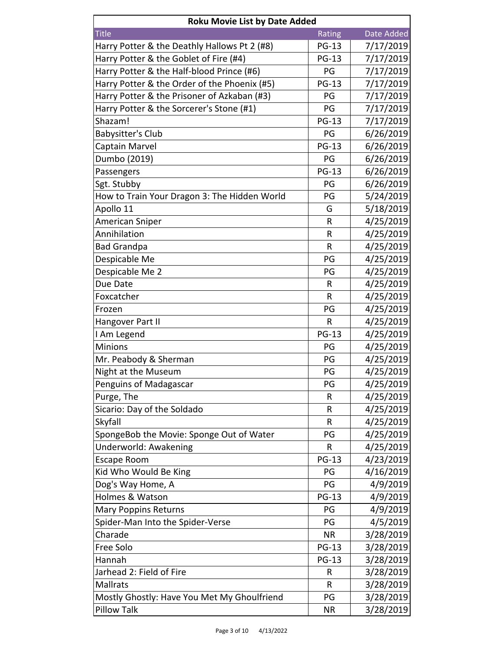| <b>Roku Movie List by Date Added</b>         |              |            |  |
|----------------------------------------------|--------------|------------|--|
| <b>Title</b>                                 | Rating       | Date Added |  |
| Harry Potter & the Deathly Hallows Pt 2 (#8) | <b>PG-13</b> | 7/17/2019  |  |
| Harry Potter & the Goblet of Fire (#4)       | <b>PG-13</b> | 7/17/2019  |  |
| Harry Potter & the Half-blood Prince (#6)    | PG           | 7/17/2019  |  |
| Harry Potter & the Order of the Phoenix (#5) | <b>PG-13</b> | 7/17/2019  |  |
| Harry Potter & the Prisoner of Azkaban (#3)  | PG           | 7/17/2019  |  |
| Harry Potter & the Sorcerer's Stone (#1)     | PG           | 7/17/2019  |  |
| Shazam!                                      | <b>PG-13</b> | 7/17/2019  |  |
| Babysitter's Club                            | PG           | 6/26/2019  |  |
| Captain Marvel                               | <b>PG-13</b> | 6/26/2019  |  |
| Dumbo (2019)                                 | PG           | 6/26/2019  |  |
| Passengers                                   | <b>PG-13</b> | 6/26/2019  |  |
| Sgt. Stubby                                  | PG           | 6/26/2019  |  |
| How to Train Your Dragon 3: The Hidden World | PG           | 5/24/2019  |  |
| Apollo 11                                    | G            | 5/18/2019  |  |
| American Sniper                              | R            | 4/25/2019  |  |
| Annihilation                                 | R            | 4/25/2019  |  |
| <b>Bad Grandpa</b>                           | R            | 4/25/2019  |  |
| Despicable Me                                | PG           | 4/25/2019  |  |
| Despicable Me 2                              | PG           | 4/25/2019  |  |
| Due Date                                     | R            | 4/25/2019  |  |
| Foxcatcher                                   | R            | 4/25/2019  |  |
| Frozen                                       | PG           | 4/25/2019  |  |
| Hangover Part II                             | R            | 4/25/2019  |  |
| I Am Legend                                  | <b>PG-13</b> | 4/25/2019  |  |
| <b>Minions</b>                               | PG           | 4/25/2019  |  |
| Mr. Peabody & Sherman                        | PG           | 4/25/2019  |  |
| Night at the Museum                          | PG           | 4/25/2019  |  |
| Penguins of Madagascar                       | PG           | 4/25/2019  |  |
| Purge, The                                   | R            | 4/25/2019  |  |
| Sicario: Day of the Soldado                  | R            | 4/25/2019  |  |
| Skyfall                                      | R            | 4/25/2019  |  |
| SpongeBob the Movie: Sponge Out of Water     | PG           | 4/25/2019  |  |
| Underworld: Awakening                        | R            | 4/25/2019  |  |
| <b>Escape Room</b>                           | <b>PG-13</b> | 4/23/2019  |  |
| Kid Who Would Be King                        | PG           | 4/16/2019  |  |
| Dog's Way Home, A                            | PG           | 4/9/2019   |  |
| Holmes & Watson                              | <b>PG-13</b> | 4/9/2019   |  |
| <b>Mary Poppins Returns</b>                  | PG           | 4/9/2019   |  |
| Spider-Man Into the Spider-Verse             | PG           | 4/5/2019   |  |
| Charade                                      | <b>NR</b>    | 3/28/2019  |  |
| Free Solo                                    | <b>PG-13</b> | 3/28/2019  |  |
| Hannah                                       | <b>PG-13</b> | 3/28/2019  |  |
| Jarhead 2: Field of Fire                     | R            | 3/28/2019  |  |
| <b>Mallrats</b>                              | R            | 3/28/2019  |  |
| Mostly Ghostly: Have You Met My Ghoulfriend  | PG           | 3/28/2019  |  |
| <b>Pillow Talk</b>                           | <b>NR</b>    | 3/28/2019  |  |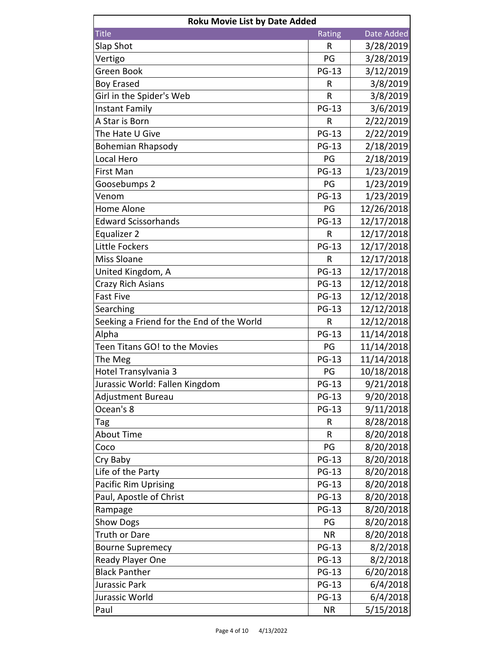| <b>Roku Movie List by Date Added</b>      |              |            |
|-------------------------------------------|--------------|------------|
| <b>Title</b>                              | Rating       | Date Added |
| Slap Shot                                 | R            | 3/28/2019  |
| Vertigo                                   | PG           | 3/28/2019  |
| Green Book                                | <b>PG-13</b> | 3/12/2019  |
| <b>Boy Erased</b>                         | R            | 3/8/2019   |
| Girl in the Spider's Web                  | R            | 3/8/2019   |
| Instant Family                            | <b>PG-13</b> | 3/6/2019   |
| A Star is Born                            | R            | 2/22/2019  |
| The Hate U Give                           | <b>PG-13</b> | 2/22/2019  |
| <b>Bohemian Rhapsody</b>                  | <b>PG-13</b> | 2/18/2019  |
| Local Hero                                | PG           | 2/18/2019  |
| First Man                                 | <b>PG-13</b> | 1/23/2019  |
| Goosebumps 2                              | PG           | 1/23/2019  |
| Venom                                     | <b>PG-13</b> | 1/23/2019  |
| Home Alone                                | PG           | 12/26/2018 |
| <b>Edward Scissorhands</b>                | <b>PG-13</b> | 12/17/2018 |
| Equalizer 2                               | R            | 12/17/2018 |
| Little Fockers                            | <b>PG-13</b> | 12/17/2018 |
| Miss Sloane                               | R            | 12/17/2018 |
| United Kingdom, A                         | <b>PG-13</b> | 12/17/2018 |
| Crazy Rich Asians                         | <b>PG-13</b> | 12/12/2018 |
| <b>Fast Five</b>                          | <b>PG-13</b> | 12/12/2018 |
| Searching                                 | <b>PG-13</b> | 12/12/2018 |
| Seeking a Friend for the End of the World | R            | 12/12/2018 |
| Alpha                                     | <b>PG-13</b> | 11/14/2018 |
| Teen Titans GO! to the Movies             | PG           | 11/14/2018 |
| The Meg                                   | <b>PG-13</b> | 11/14/2018 |
| Hotel Transylvania 3                      | PG           | 10/18/2018 |
| Jurassic World: Fallen Kingdom            | <b>PG-13</b> | 9/21/2018  |
| Adjustment Bureau                         | <b>PG-13</b> | 9/20/2018  |
| Ocean's 8                                 | <b>PG-13</b> | 9/11/2018  |
| Tag                                       | R            | 8/28/2018  |
| <b>About Time</b>                         | R            | 8/20/2018  |
| Coco                                      | PG           | 8/20/2018  |
| Cry Baby                                  | <b>PG-13</b> | 8/20/2018  |
| Life of the Party                         | <b>PG-13</b> | 8/20/2018  |
| <b>Pacific Rim Uprising</b>               | <b>PG-13</b> | 8/20/2018  |
| Paul, Apostle of Christ                   | <b>PG-13</b> | 8/20/2018  |
| Rampage                                   | <b>PG-13</b> | 8/20/2018  |
| <b>Show Dogs</b>                          | PG           | 8/20/2018  |
| Truth or Dare                             | <b>NR</b>    | 8/20/2018  |
| <b>Bourne Supremecy</b>                   | <b>PG-13</b> | 8/2/2018   |
| Ready Player One                          | <b>PG-13</b> | 8/2/2018   |
| <b>Black Panther</b>                      | <b>PG-13</b> | 6/20/2018  |
| Jurassic Park                             | <b>PG-13</b> | 6/4/2018   |
| Jurassic World                            | <b>PG-13</b> | 6/4/2018   |
| Paul                                      | <b>NR</b>    | 5/15/2018  |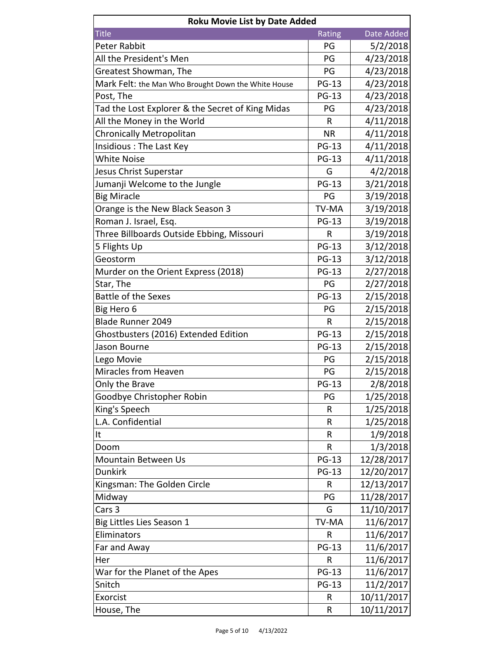| <b>Roku Movie List by Date Added</b>                |              |            |  |
|-----------------------------------------------------|--------------|------------|--|
| <b>Title</b>                                        | Rating       | Date Added |  |
| <b>Peter Rabbit</b>                                 | PG           | 5/2/2018   |  |
| All the President's Men                             | PG           | 4/23/2018  |  |
| Greatest Showman, The                               | PG           | 4/23/2018  |  |
| Mark Felt: the Man Who Brought Down the White House | <b>PG-13</b> | 4/23/2018  |  |
| Post, The                                           | <b>PG-13</b> | 4/23/2018  |  |
| Tad the Lost Explorer & the Secret of King Midas    | PG           | 4/23/2018  |  |
| All the Money in the World                          | R            | 4/11/2018  |  |
| Chronically Metropolitan                            | <b>NR</b>    | 4/11/2018  |  |
| Insidious: The Last Key                             | <b>PG-13</b> | 4/11/2018  |  |
| <b>White Noise</b>                                  | <b>PG-13</b> | 4/11/2018  |  |
| Jesus Christ Superstar                              | G            | 4/2/2018   |  |
| Jumanji Welcome to the Jungle                       | <b>PG-13</b> | 3/21/2018  |  |
| <b>Big Miracle</b>                                  | PG           | 3/19/2018  |  |
| Orange is the New Black Season 3                    | <b>TV-MA</b> | 3/19/2018  |  |
| Roman J. Israel, Esq.                               | <b>PG-13</b> | 3/19/2018  |  |
| Three Billboards Outside Ebbing, Missouri           | R            | 3/19/2018  |  |
| 5 Flights Up                                        | <b>PG-13</b> | 3/12/2018  |  |
| Geostorm                                            | <b>PG-13</b> | 3/12/2018  |  |
| Murder on the Orient Express (2018)                 | <b>PG-13</b> | 2/27/2018  |  |
| Star, The                                           | PG           | 2/27/2018  |  |
| <b>Battle of the Sexes</b>                          | <b>PG-13</b> | 2/15/2018  |  |
| Big Hero 6                                          | PG           | 2/15/2018  |  |
| <b>Blade Runner 2049</b>                            | $\mathsf R$  | 2/15/2018  |  |
| Ghostbusters (2016) Extended Edition                | <b>PG-13</b> | 2/15/2018  |  |
| Jason Bourne                                        | <b>PG-13</b> | 2/15/2018  |  |
| Lego Movie                                          | PG           | 2/15/2018  |  |
| Miracles from Heaven                                | PG           | 2/15/2018  |  |
| Only the Brave                                      | <b>PG-13</b> | 2/8/2018   |  |
| Goodbye Christopher Robin                           | PG           | 1/25/2018  |  |
| King's Speech                                       | R            | 1/25/2018  |  |
| L.A. Confidential                                   | R            | 1/25/2018  |  |
| It                                                  | R            | 1/9/2018   |  |
| Doom                                                | R            | 1/3/2018   |  |
| <b>Mountain Between Us</b>                          | <b>PG-13</b> | 12/28/2017 |  |
| <b>Dunkirk</b>                                      | <b>PG-13</b> | 12/20/2017 |  |
| Kingsman: The Golden Circle                         | R            | 12/13/2017 |  |
| Midway                                              | PG           | 11/28/2017 |  |
| Cars 3                                              | G            | 11/10/2017 |  |
| Big Littles Lies Season 1                           | <b>TV-MA</b> | 11/6/2017  |  |
| Eliminators                                         | R            | 11/6/2017  |  |
| Far and Away                                        | <b>PG-13</b> | 11/6/2017  |  |
| Her                                                 | R            | 11/6/2017  |  |
| War for the Planet of the Apes                      | <b>PG-13</b> | 11/6/2017  |  |
| Snitch                                              | <b>PG-13</b> | 11/2/2017  |  |
| Exorcist                                            | R            | 10/11/2017 |  |
| House, The                                          | R            | 10/11/2017 |  |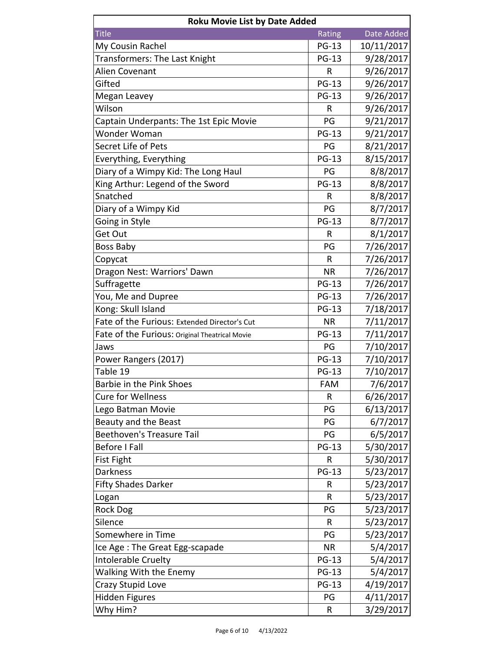| <b>Roku Movie List by Date Added</b>           |              |            |
|------------------------------------------------|--------------|------------|
| <b>Title</b>                                   | Rating       | Date Added |
| My Cousin Rachel                               | <b>PG-13</b> | 10/11/2017 |
| Transformers: The Last Knight                  | <b>PG-13</b> | 9/28/2017  |
| Alien Covenant                                 | R            | 9/26/2017  |
| Gifted                                         | <b>PG-13</b> | 9/26/2017  |
| Megan Leavey                                   | <b>PG-13</b> | 9/26/2017  |
| Wilson                                         | R            | 9/26/2017  |
| Captain Underpants: The 1st Epic Movie         | PG           | 9/21/2017  |
| Wonder Woman                                   | <b>PG-13</b> | 9/21/2017  |
| Secret Life of Pets                            | PG           | 8/21/2017  |
| Everything, Everything                         | <b>PG-13</b> | 8/15/2017  |
| Diary of a Wimpy Kid: The Long Haul            | PG           | 8/8/2017   |
| King Arthur: Legend of the Sword               | <b>PG-13</b> | 8/8/2017   |
| Snatched                                       | R            | 8/8/2017   |
| Diary of a Wimpy Kid                           | PG           | 8/7/2017   |
| Going in Style                                 | <b>PG-13</b> | 8/7/2017   |
| Get Out                                        | R            | 8/1/2017   |
| Boss Baby                                      | PG           | 7/26/2017  |
| Copycat                                        | R            | 7/26/2017  |
| Dragon Nest: Warriors' Dawn                    | <b>NR</b>    | 7/26/2017  |
| Suffragette                                    | <b>PG-13</b> | 7/26/2017  |
| You, Me and Dupree                             | <b>PG-13</b> | 7/26/2017  |
| Kong: Skull Island                             | <b>PG-13</b> | 7/18/2017  |
| Fate of the Furious: Extended Director's Cut   | <b>NR</b>    | 7/11/2017  |
| Fate of the Furious: Original Theatrical Movie | <b>PG-13</b> | 7/11/2017  |
| Jaws                                           | PG           | 7/10/2017  |
| Power Rangers (2017)                           | <b>PG-13</b> | 7/10/2017  |
| Table 19                                       | <b>PG-13</b> | 7/10/2017  |
| Barbie in the Pink Shoes                       | <b>FAM</b>   | 7/6/2017   |
| <b>Cure for Wellness</b>                       | R            | 6/26/2017  |
| Lego Batman Movie                              | PG           | 6/13/2017  |
| Beauty and the Beast                           | PG           | 6/7/2017   |
| <b>Beethoven's Treasure Tail</b>               | PG           | 6/5/2017   |
| <b>Before I Fall</b>                           | <b>PG-13</b> | 5/30/2017  |
| <b>Fist Fight</b>                              | R            | 5/30/2017  |
| <b>Darkness</b>                                | <b>PG-13</b> | 5/23/2017  |
| <b>Fifty Shades Darker</b>                     | R            | 5/23/2017  |
| Logan                                          | R            | 5/23/2017  |
| <b>Rock Dog</b>                                | PG           | 5/23/2017  |
| Silence                                        | R            | 5/23/2017  |
| Somewhere in Time                              | PG           | 5/23/2017  |
| Ice Age: The Great Egg-scapade                 | <b>NR</b>    | 5/4/2017   |
| Intolerable Cruelty                            | <b>PG-13</b> | 5/4/2017   |
| Walking With the Enemy                         | <b>PG-13</b> | 5/4/2017   |
| Crazy Stupid Love                              | <b>PG-13</b> | 4/19/2017  |
| <b>Hidden Figures</b>                          | PG           | 4/11/2017  |
| Why Him?                                       | R            | 3/29/2017  |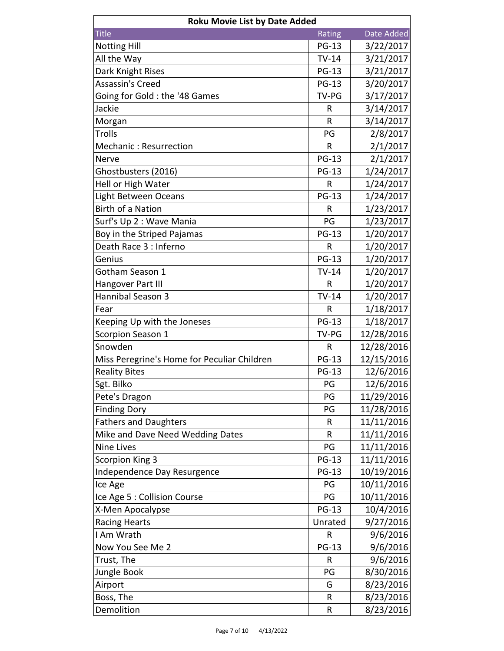| <b>Roku Movie List by Date Added</b>        |              |            |  |
|---------------------------------------------|--------------|------------|--|
| <b>Title</b>                                | Rating       | Date Added |  |
| <b>Notting Hill</b>                         | <b>PG-13</b> | 3/22/2017  |  |
| All the Way                                 | $TV-14$      | 3/21/2017  |  |
| Dark Knight Rises                           | <b>PG-13</b> | 3/21/2017  |  |
| <b>Assassin's Creed</b>                     | <b>PG-13</b> | 3/20/2017  |  |
| Going for Gold: the '48 Games               | TV-PG        | 3/17/2017  |  |
| Jackie                                      | R            | 3/14/2017  |  |
| Morgan                                      | R            | 3/14/2017  |  |
| <b>Trolls</b>                               | PG           | 2/8/2017   |  |
| Mechanic: Resurrection                      | $\mathsf R$  | 2/1/2017   |  |
| <b>Nerve</b>                                | <b>PG-13</b> | 2/1/2017   |  |
| Ghostbusters (2016)                         | <b>PG-13</b> | 1/24/2017  |  |
| Hell or High Water                          | R            | 1/24/2017  |  |
| Light Between Oceans                        | <b>PG-13</b> | 1/24/2017  |  |
| <b>Birth of a Nation</b>                    | R            | 1/23/2017  |  |
| Surf's Up 2 : Wave Mania                    | PG           | 1/23/2017  |  |
| Boy in the Striped Pajamas                  | <b>PG-13</b> | 1/20/2017  |  |
| Death Race 3 : Inferno                      | R            | 1/20/2017  |  |
| Genius                                      | <b>PG-13</b> | 1/20/2017  |  |
| Gotham Season 1                             | $TV-14$      | 1/20/2017  |  |
| Hangover Part III                           | R            | 1/20/2017  |  |
| Hannibal Season 3                           | $TV-14$      | 1/20/2017  |  |
| Fear                                        | $\mathsf{R}$ | 1/18/2017  |  |
| Keeping Up with the Joneses                 | <b>PG-13</b> | 1/18/2017  |  |
| Scorpion Season 1                           | TV-PG        | 12/28/2016 |  |
| Snowden                                     | R            | 12/28/2016 |  |
| Miss Peregrine's Home for Peculiar Children | <b>PG-13</b> | 12/15/2016 |  |
| <b>Reality Bites</b>                        | <b>PG-13</b> | 12/6/2016  |  |
| Sgt. Bilko                                  | PG           | 12/6/2016  |  |
| Pete's Dragon                               | PG           | 11/29/2016 |  |
| <b>Finding Dory</b>                         | PG           | 11/28/2016 |  |
| <b>Fathers and Daughters</b>                | R            | 11/11/2016 |  |
| Mike and Dave Need Wedding Dates            | R            | 11/11/2016 |  |
| <b>Nine Lives</b>                           | PG           | 11/11/2016 |  |
| <b>Scorpion King 3</b>                      | <b>PG-13</b> | 11/11/2016 |  |
| Independence Day Resurgence                 | <b>PG-13</b> | 10/19/2016 |  |
| Ice Age                                     | PG           | 10/11/2016 |  |
| Ice Age 5 : Collision Course                | PG           | 10/11/2016 |  |
| X-Men Apocalypse                            | <b>PG-13</b> | 10/4/2016  |  |
| <b>Racing Hearts</b>                        | Unrated      | 9/27/2016  |  |
| I Am Wrath                                  | R            | 9/6/2016   |  |
| Now You See Me 2                            | <b>PG-13</b> | 9/6/2016   |  |
| Trust, The                                  | R            | 9/6/2016   |  |
| Jungle Book                                 | PG           | 8/30/2016  |  |
| Airport                                     | G            | 8/23/2016  |  |
| Boss, The                                   | R            | 8/23/2016  |  |
| Demolition                                  | R            | 8/23/2016  |  |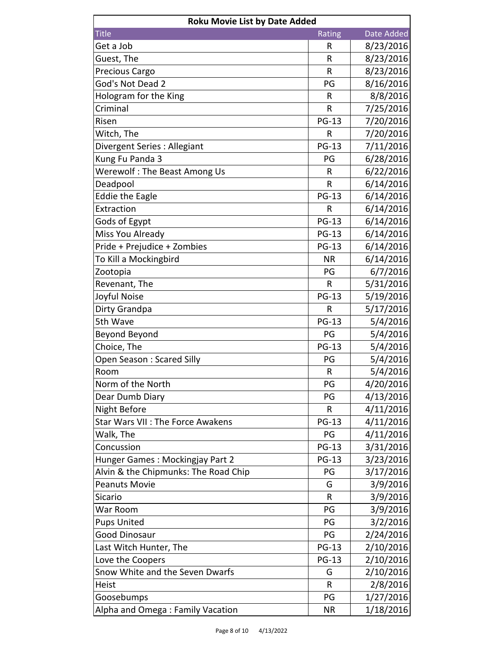| <b>Roku Movie List by Date Added</b>    |              |            |  |
|-----------------------------------------|--------------|------------|--|
| <b>Title</b>                            | Rating       | Date Added |  |
| Get a Job                               | R            | 8/23/2016  |  |
| Guest, The                              | R            | 8/23/2016  |  |
| Precious Cargo                          | R            | 8/23/2016  |  |
| God's Not Dead 2                        | PG           | 8/16/2016  |  |
| Hologram for the King                   | R            | 8/8/2016   |  |
| Criminal                                | R            | 7/25/2016  |  |
| Risen                                   | <b>PG-13</b> | 7/20/2016  |  |
| Witch, The                              | $\mathsf{R}$ | 7/20/2016  |  |
| Divergent Series : Allegiant            | <b>PG-13</b> | 7/11/2016  |  |
| Kung Fu Panda 3                         | PG           | 6/28/2016  |  |
| Werewolf: The Beast Among Us            | R            | 6/22/2016  |  |
| Deadpool                                | R            | 6/14/2016  |  |
| <b>Eddie the Eagle</b>                  | <b>PG-13</b> | 6/14/2016  |  |
| Extraction                              | R            | 6/14/2016  |  |
| Gods of Egypt                           | <b>PG-13</b> | 6/14/2016  |  |
| Miss You Already                        | <b>PG-13</b> | 6/14/2016  |  |
| Pride + Prejudice + Zombies             | <b>PG-13</b> | 6/14/2016  |  |
| To Kill a Mockingbird                   | <b>NR</b>    | 6/14/2016  |  |
| Zootopia                                | PG           | 6/7/2016   |  |
| Revenant, The                           | $\mathsf R$  | 5/31/2016  |  |
| Joyful Noise                            | <b>PG-13</b> | 5/19/2016  |  |
| Dirty Grandpa                           | $\mathsf{R}$ | 5/17/2016  |  |
| 5th Wave                                | <b>PG-13</b> | 5/4/2016   |  |
| <b>Beyond Beyond</b>                    | PG           | 5/4/2016   |  |
| Choice, The                             | <b>PG-13</b> | 5/4/2016   |  |
| Open Season: Scared Silly               | PG           | 5/4/2016   |  |
| Room                                    | R            | 5/4/2016   |  |
| Norm of the North                       | PG           | 4/20/2016  |  |
| Dear Dumb Diary                         | PG           | 4/13/2016  |  |
| <b>Night Before</b>                     | R            | 4/11/2016  |  |
| <b>Star Wars VII: The Force Awakens</b> | <b>PG-13</b> | 4/11/2016  |  |
| Walk, The                               | PG           | 4/11/2016  |  |
| Concussion                              | <b>PG-13</b> | 3/31/2016  |  |
| Hunger Games: Mockingjay Part 2         | <b>PG-13</b> | 3/23/2016  |  |
| Alvin & the Chipmunks: The Road Chip    | PG           | 3/17/2016  |  |
| <b>Peanuts Movie</b>                    | G            | 3/9/2016   |  |
| Sicario                                 | R            | 3/9/2016   |  |
| War Room                                | PG           | 3/9/2016   |  |
| <b>Pups United</b>                      | PG           | 3/2/2016   |  |
| <b>Good Dinosaur</b>                    | PG           | 2/24/2016  |  |
| Last Witch Hunter, The                  | <b>PG-13</b> | 2/10/2016  |  |
| Love the Coopers                        | <b>PG-13</b> | 2/10/2016  |  |
| Snow White and the Seven Dwarfs         | G            | 2/10/2016  |  |
| Heist                                   | R            | 2/8/2016   |  |
| Goosebumps                              | PG           | 1/27/2016  |  |
| Alpha and Omega: Family Vacation        | <b>NR</b>    | 1/18/2016  |  |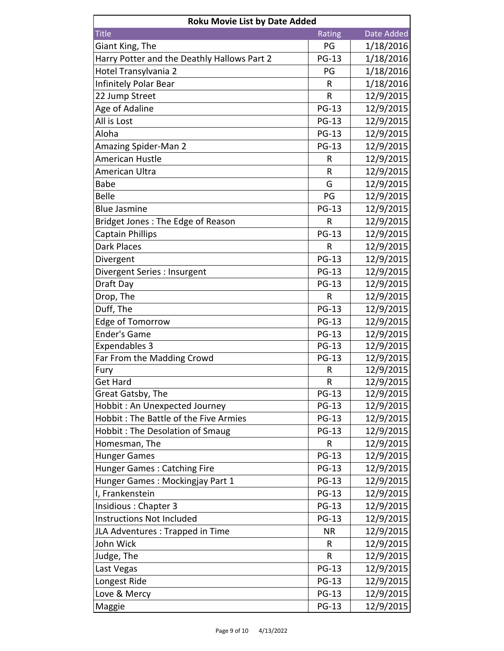| <b>Roku Movie List by Date Added</b>        |              |            |
|---------------------------------------------|--------------|------------|
| <b>Title</b>                                | Rating       | Date Added |
| Giant King, The                             | PG           | 1/18/2016  |
| Harry Potter and the Deathly Hallows Part 2 | <b>PG-13</b> | 1/18/2016  |
| Hotel Transylvania 2                        | PG           | 1/18/2016  |
| Infinitely Polar Bear                       | R            | 1/18/2016  |
| 22 Jump Street                              | $\mathsf{R}$ | 12/9/2015  |
| Age of Adaline                              | <b>PG-13</b> | 12/9/2015  |
| All is Lost                                 | <b>PG-13</b> | 12/9/2015  |
| Aloha                                       | <b>PG-13</b> | 12/9/2015  |
| <b>Amazing Spider-Man 2</b>                 | <b>PG-13</b> | 12/9/2015  |
| American Hustle                             | R            | 12/9/2015  |
| American Ultra                              | R            | 12/9/2015  |
| <b>Babe</b>                                 | G            | 12/9/2015  |
| <b>Belle</b>                                | PG           | 12/9/2015  |
| <b>Blue Jasmine</b>                         | <b>PG-13</b> | 12/9/2015  |
| Bridget Jones: The Edge of Reason           | R            | 12/9/2015  |
| <b>Captain Phillips</b>                     | <b>PG-13</b> | 12/9/2015  |
| <b>Dark Places</b>                          | R            | 12/9/2015  |
| Divergent                                   | <b>PG-13</b> | 12/9/2015  |
| Divergent Series : Insurgent                | <b>PG-13</b> | 12/9/2015  |
| Draft Day                                   | <b>PG-13</b> | 12/9/2015  |
| Drop, The                                   | R            | 12/9/2015  |
| Duff, The                                   | <b>PG-13</b> | 12/9/2015  |
| Edge of Tomorrow                            | <b>PG-13</b> | 12/9/2015  |
| <b>Ender's Game</b>                         | <b>PG-13</b> | 12/9/2015  |
| <b>Expendables 3</b>                        | <b>PG-13</b> | 12/9/2015  |
| Far From the Madding Crowd                  | <b>PG-13</b> | 12/9/2015  |
| Fury                                        | R            | 12/9/2015  |
| <b>Get Hard</b>                             | R            | 12/9/2015  |
| Great Gatsby, The                           | <b>PG-13</b> | 12/9/2015  |
| Hobbit: An Unexpected Journey               | <b>PG-13</b> | 12/9/2015  |
| Hobbit: The Battle of the Five Armies       | <b>PG-13</b> | 12/9/2015  |
| Hobbit: The Desolation of Smaug             | <b>PG-13</b> | 12/9/2015  |
| Homesman, The                               | R            | 12/9/2015  |
| <b>Hunger Games</b>                         | <b>PG-13</b> | 12/9/2015  |
| <b>Hunger Games: Catching Fire</b>          | <b>PG-13</b> | 12/9/2015  |
| Hunger Games: Mockingjay Part 1             | <b>PG-13</b> | 12/9/2015  |
| I, Frankenstein                             | <b>PG-13</b> | 12/9/2015  |
| Insidious: Chapter 3                        | <b>PG-13</b> | 12/9/2015  |
| <b>Instructions Not Included</b>            | <b>PG-13</b> | 12/9/2015  |
| JLA Adventures : Trapped in Time            | <b>NR</b>    | 12/9/2015  |
| John Wick                                   | R            | 12/9/2015  |
| Judge, The                                  | ${\sf R}$    | 12/9/2015  |
| Last Vegas                                  | <b>PG-13</b> | 12/9/2015  |
| Longest Ride                                | <b>PG-13</b> | 12/9/2015  |
| Love & Mercy                                | <b>PG-13</b> | 12/9/2015  |
| Maggie                                      | <b>PG-13</b> | 12/9/2015  |